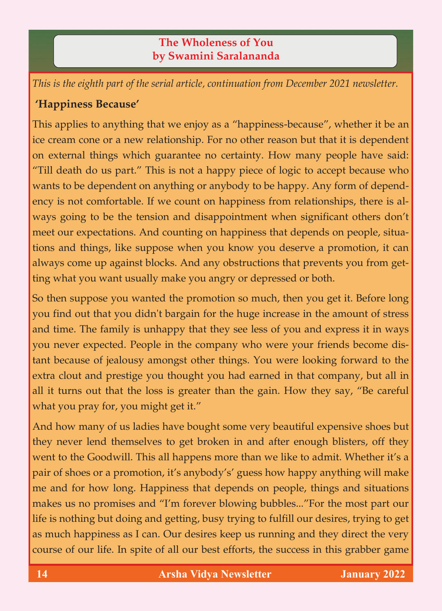## **The Wholeness of You by Swamini Saralananda**

*This is the eighth part of the serial article, continuation from December 2021 newsletter.*

## **'Happiness Because'**

This applies to anything that we enjoy as a "happiness-because", whether it be an ice cream cone or a new relationship. For no other reason but that it is dependent on external things which guarantee no certainty. How many people have said: "Till death do us part." This is not a happy piece of logic to accept because who wants to be dependent on anything or anybody to be happy. Any form of dependency is not comfortable. If we count on happiness from relationships, there is always going to be the tension and disappointment when significant others don't meet our expectations. And counting on happiness that depends on people, situations and things, like suppose when you know you deserve a promotion, it can always come up against blocks. And any obstructions that prevents you from getting what you want usually make you angry or depressed or both.

So then suppose you wanted the promotion so much, then you get it. Before long you find out that you didn't bargain for the huge increase in the amount of stress and time. The family is unhappy that they see less of you and express it in ways you never expected. People in the company who were your friends become distant because of jealousy amongst other things. You were looking forward to the extra clout and prestige you thought you had earned in that company, but all in all it turns out that the loss is greater than the gain. How they say, "Be careful what you pray for, you might get it."

And how many of us ladies have bought some very beautiful expensive shoes but they never lend themselves to get broken in and after enough blisters, off they went to the Goodwill. This all happens more than we like to admit. Whether it's a pair of shoes or a promotion, it's anybody's' guess how happy anything will make me and for how long. Happiness that depends on people, things and situations makes us no promises and "I'm forever blowing bubbles..."For the most part our life is nothing but doing and getting, busy trying to fulfill our desires, trying to get as much happiness as I can. Our desires keep us running and they direct the very course of our life. In spite of all our best efforts, the success in this grabber game